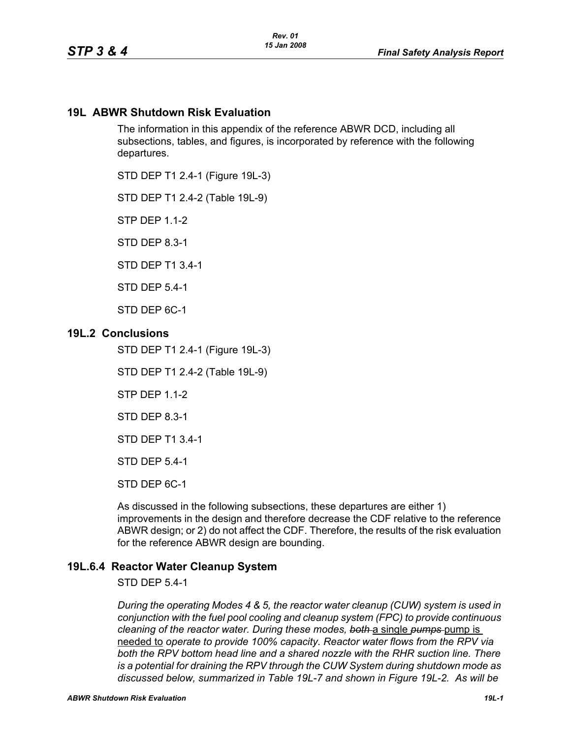## **19L ABWR Shutdown Risk Evaluation**

The information in this appendix of the reference ABWR DCD, including all subsections, tables, and figures, is incorporated by reference with the following departures.

STD DEP T1 2.4-1 (Figure 19L-3)

STD DEP T1 2.4-2 (Table 19L-9)

STP DFP 1 1-2

STD DEP 8.3-1

STD DEP T1 3.4-1

STD DEP 5.4-1

STD DEP 6C-1

### **19L.2 Conclusions**

STD DEP T1 2.4-1 (Figure 19L-3)

STD DEP T1 2.4-2 (Table 19L-9)

STP DEP 1.1-2

STD DEP 8.3-1

STD DEP T1 3.4-1

STD DEP 5.4-1

STD DEP 6C-1

As discussed in the following subsections, these departures are either 1) improvements in the design and therefore decrease the CDF relative to the reference ABWR design; or 2) do not affect the CDF. Therefore, the results of the risk evaluation for the reference ABWR design are bounding.

## **19L.6.4 Reactor Water Cleanup System**

STD DEP 5.4-1

*During the operating Modes 4 & 5, the reactor water cleanup (CUW) system is used in conjunction with the fuel pool cooling and cleanup system (FPC) to provide continuous cleaning of the reactor water. During these modes, both* a single *pumps* pump is needed to *operate to provide 100% capacity. Reactor water flows from the RPV via both the RPV bottom head line and a shared nozzle with the RHR suction line. There is a potential for draining the RPV through the CUW System during shutdown mode as discussed below, summarized in Table 19L-7 and shown in Figure 19L-2. As will be*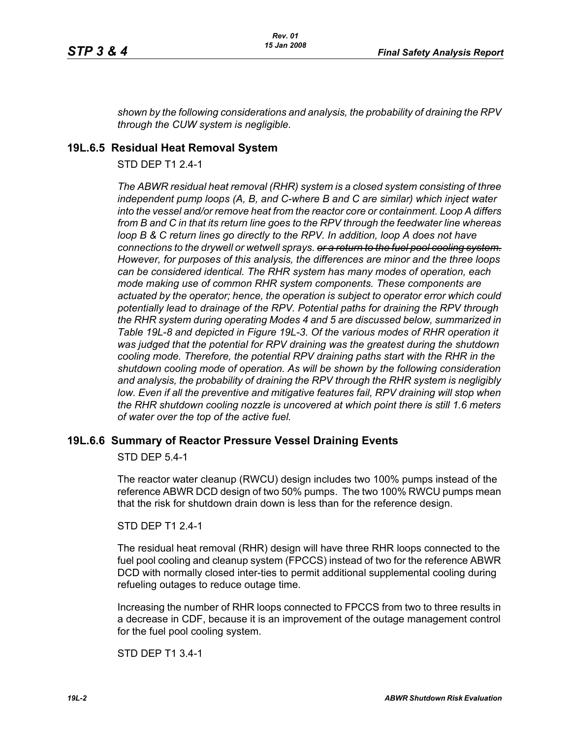*shown by the following considerations and analysis, the probability of draining the RPV through the CUW system is negligible.*

## **19L.6.5 Residual Heat Removal System**

STD DFP T1 2 4-1

*The ABWR residual heat removal (RHR) system is a closed system consisting of three independent pump loops (A, B, and C-where B and C are similar) which inject water into the vessel and/or remove heat from the reactor core or containment. Loop A differs from B and C in that its return line goes to the RPV through the feedwater line whereas loop B & C return lines go directly to the RPV. In addition, loop A does not have connections to the drywell or wetwell sprays. or a return to the fuel pool cooling system. However, for purposes of this analysis, the differences are minor and the three loops can be considered identical. The RHR system has many modes of operation, each mode making use of common RHR system components. These components are actuated by the operator; hence, the operation is subject to operator error which could potentially lead to drainage of the RPV. Potential paths for draining the RPV through the RHR system during operating Modes 4 and 5 are discussed below, summarized in Table 19L-8 and depicted in Figure 19L-3. Of the various modes of RHR operation it was judged that the potential for RPV draining was the greatest during the shutdown cooling mode. Therefore, the potential RPV draining paths start with the RHR in the shutdown cooling mode of operation. As will be shown by the following consideration and analysis, the probability of draining the RPV through the RHR system is negligibly*  low. Even if all the preventive and mitigative features fail, RPV draining will stop when *the RHR shutdown cooling nozzle is uncovered at which point there is still 1.6 meters of water over the top of the active fuel.*

## **19L.6.6 Summary of Reactor Pressure Vessel Draining Events**

STD DEP 5.4-1

The reactor water cleanup (RWCU) design includes two 100% pumps instead of the reference ABWR DCD design of two 50% pumps. The two 100% RWCU pumps mean that the risk for shutdown drain down is less than for the reference design.

#### STD DEP T1 2.4-1

The residual heat removal (RHR) design will have three RHR loops connected to the fuel pool cooling and cleanup system (FPCCS) instead of two for the reference ABWR DCD with normally closed inter-ties to permit additional supplemental cooling during refueling outages to reduce outage time.

Increasing the number of RHR loops connected to FPCCS from two to three results in a decrease in CDF, because it is an improvement of the outage management control for the fuel pool cooling system.

STD DEP T1 3.4-1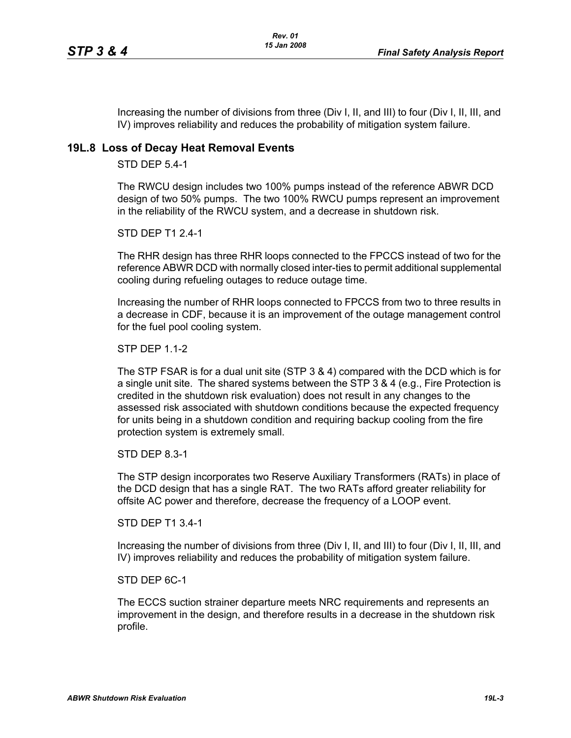Increasing the number of divisions from three (Div I, II, and III) to four (Div I, II, III, and IV) improves reliability and reduces the probability of mitigation system failure.

## **19L.8 Loss of Decay Heat Removal Events**

STD DEP 5.4-1

The RWCU design includes two 100% pumps instead of the reference ABWR DCD design of two 50% pumps. The two 100% RWCU pumps represent an improvement in the reliability of the RWCU system, and a decrease in shutdown risk.

STD DEP T1 2.4-1

The RHR design has three RHR loops connected to the FPCCS instead of two for the reference ABWR DCD with normally closed inter-ties to permit additional supplemental cooling during refueling outages to reduce outage time.

Increasing the number of RHR loops connected to FPCCS from two to three results in a decrease in CDF, because it is an improvement of the outage management control for the fuel pool cooling system.

STP DEP 1.1-2

The STP FSAR is for a dual unit site (STP 3 & 4) compared with the DCD which is for a single unit site. The shared systems between the STP 3 & 4 (e.g., Fire Protection is credited in the shutdown risk evaluation) does not result in any changes to the assessed risk associated with shutdown conditions because the expected frequency for units being in a shutdown condition and requiring backup cooling from the fire protection system is extremely small.

STD DEP 8.3-1

The STP design incorporates two Reserve Auxiliary Transformers (RATs) in place of the DCD design that has a single RAT. The two RATs afford greater reliability for offsite AC power and therefore, decrease the frequency of a LOOP event.

STD DEP T1 3.4-1

Increasing the number of divisions from three (Div I, II, and III) to four (Div I, II, III, and IV) improves reliability and reduces the probability of mitigation system failure.

STD DEP 6C-1

The ECCS suction strainer departure meets NRC requirements and represents an improvement in the design, and therefore results in a decrease in the shutdown risk profile.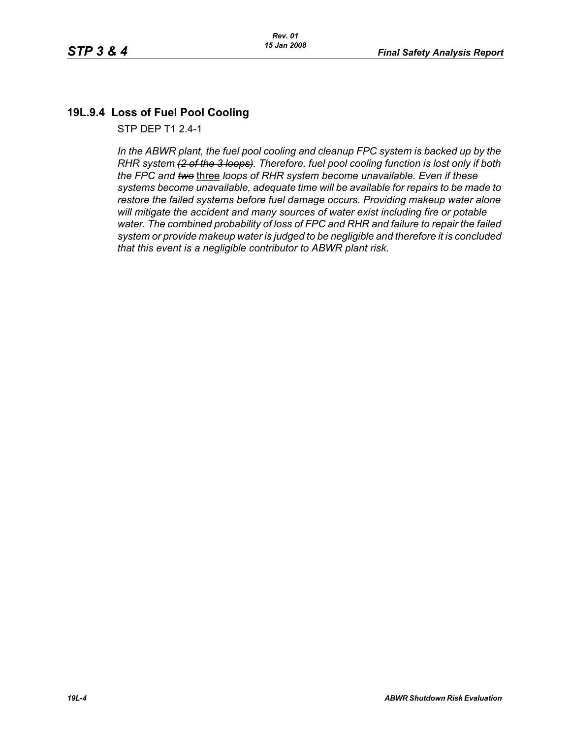# **19L.9.4 Loss of Fuel Pool Cooling**

STP DEP T1 2.4-1

In the ABWR plant, the fuel pool cooling and cleanup FPC system is backed up by the *RHR system (2 of the 3 loops). Therefore, fuel pool cooling function is lost only if both the FPC and two* three *loops of RHR system become unavailable. Even if these systems become unavailable, adequate time will be available for repairs to be made to restore the failed systems before fuel damage occurs. Providing makeup water alone will mitigate the accident and many sources of water exist including fire or potable water. The combined probability of loss of FPC and RHR and failure to repair the failed system or provide makeup water is judged to be negligible and therefore it is concluded that this event is a negligible contributor to ABWR plant risk.*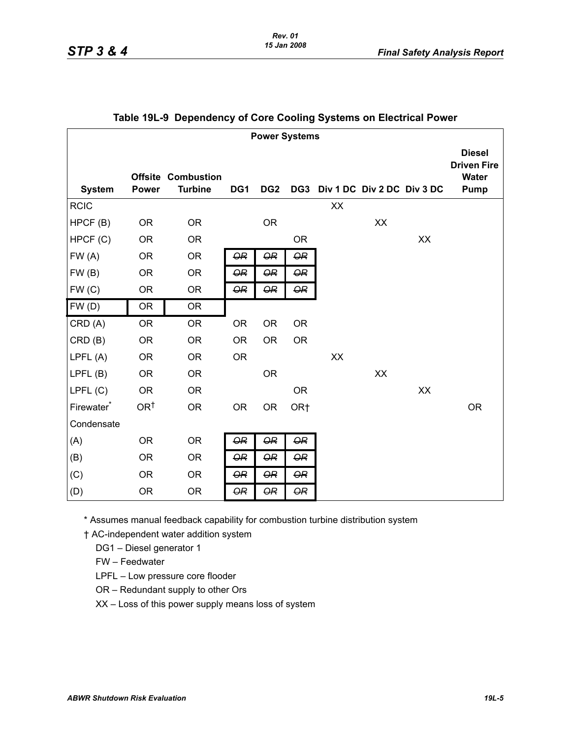#### *Rev. 01 15 Jan 2008*

| <b>Power Systems</b>   |                 |                                             |                      |                      |                      |                                |    |    |                                                      |
|------------------------|-----------------|---------------------------------------------|----------------------|----------------------|----------------------|--------------------------------|----|----|------------------------------------------------------|
| <b>System</b>          | <b>Power</b>    | <b>Offsite Combustion</b><br><b>Turbine</b> | DG1                  | DG <sub>2</sub>      |                      | DG3 Div 1 DC Div 2 DC Div 3 DC |    |    | <b>Diesel</b><br><b>Driven Fire</b><br>Water<br>Pump |
| <b>RCIC</b>            |                 |                                             |                      |                      |                      | XX                             |    |    |                                                      |
| HPCF (B)               | <b>OR</b>       | <b>OR</b>                                   |                      | <b>OR</b>            |                      |                                | XX |    |                                                      |
| HPCF(C)                | <b>OR</b>       | <b>OR</b>                                   |                      |                      | <b>OR</b>            |                                |    | XX |                                                      |
| FW(A)                  | <b>OR</b>       | <b>OR</b>                                   | $\Theta$ R           | $\Theta$ R           | <b>OR</b>            |                                |    |    |                                                      |
| FW(B)                  | <b>OR</b>       | <b>OR</b>                                   | $\overline{\Theta}R$ | $\overline{\Theta}R$ | $\Theta$ R           |                                |    |    |                                                      |
| FW(C)                  | <b>OR</b>       | <b>OR</b>                                   | $\Theta$ R           | $\Theta R$           | $\Theta R$           |                                |    |    |                                                      |
| FW(D)                  | <b>OR</b>       | <b>OR</b>                                   |                      |                      |                      |                                |    |    |                                                      |
| CRD (A)                | <b>OR</b>       | <b>OR</b>                                   | <b>OR</b>            | <b>OR</b>            | <b>OR</b>            |                                |    |    |                                                      |
| CRD(B)                 | <b>OR</b>       | <b>OR</b>                                   | <b>OR</b>            | <b>OR</b>            | <b>OR</b>            |                                |    |    |                                                      |
| LPFL (A)               | <b>OR</b>       | <b>OR</b>                                   | <b>OR</b>            |                      |                      | XX                             |    |    |                                                      |
| LPFL(B)                | <b>OR</b>       | <b>OR</b>                                   |                      | <b>OR</b>            |                      |                                | XX |    |                                                      |
| LPFL(C)                | <b>OR</b>       | <b>OR</b>                                   |                      |                      | <b>OR</b>            |                                |    | XX |                                                      |
| Firewater <sup>*</sup> | OR <sup>†</sup> | <b>OR</b>                                   | <b>OR</b>            | <b>OR</b>            | OR <sub>†</sub>      |                                |    |    | <b>OR</b>                                            |
| Condensate             |                 |                                             |                      |                      |                      |                                |    |    |                                                      |
| (A)                    | <b>OR</b>       | <b>OR</b>                                   | $\overline{\Theta}R$ | $\Theta$ R           | <b>OR</b>            |                                |    |    |                                                      |
| (B)                    | <b>OR</b>       | <b>OR</b>                                   | $\Theta$ R           | $\overline{\Theta}R$ | $\Theta R$           |                                |    |    |                                                      |
| (C)                    | <b>OR</b>       | <b>OR</b>                                   | $\Theta$ R           | $\Theta$ R           | $\overline{\Theta}R$ |                                |    |    |                                                      |
| (D)                    | <b>OR</b>       | <b>OR</b>                                   | $\Theta$ R           | $\overline{\Theta}R$ | $\Theta R$           |                                |    |    |                                                      |

### **Table 19L-9 Dependency of Core Cooling Systems on Electrical Power**

\* Assumes manual feedback capability for combustion turbine distribution system

† AC-independent water addition system

DG1 – Diesel generator 1

FW – Feedwater

LPFL – Low pressure core flooder

OR – Redundant supply to other Ors

XX – Loss of this power supply means loss of system